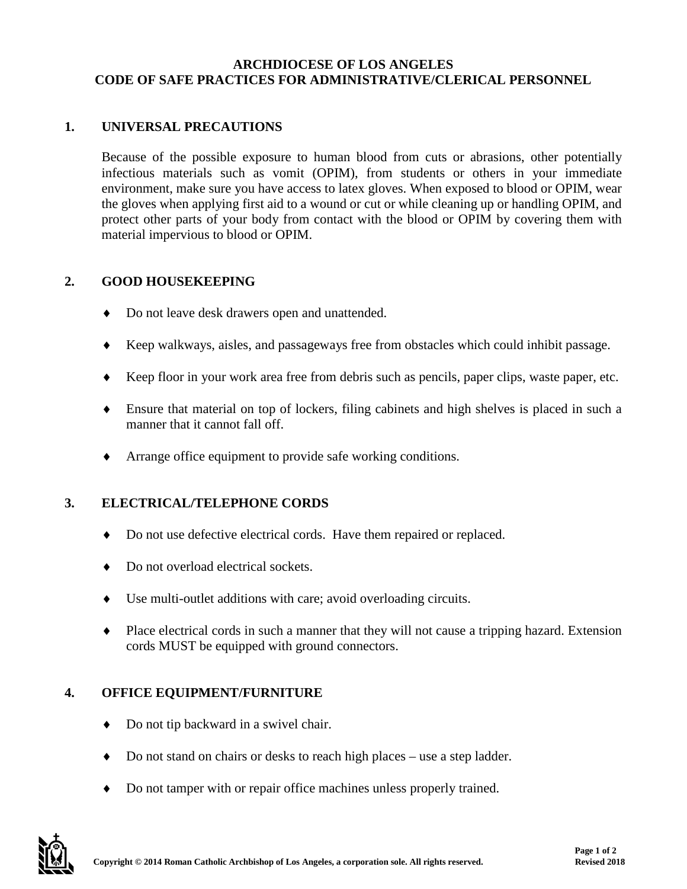#### **ARCHDIOCESE OF LOS ANGELES CODE OF SAFE PRACTICES FOR ADMINISTRATIVE/CLERICAL PERSONNEL**

## **1. UNIVERSAL PRECAUTIONS**

Because of the possible exposure to human blood from cuts or abrasions, other potentially infectious materials such as vomit (OPIM), from students or others in your immediate environment, make sure you have access to latex gloves. When exposed to blood or OPIM, wear the gloves when applying first aid to a wound or cut or while cleaning up or handling OPIM, and protect other parts of your body from contact with the blood or OPIM by covering them with material impervious to blood or OPIM.

### **2. GOOD HOUSEKEEPING**

- ♦ Do not leave desk drawers open and unattended.
- ♦ Keep walkways, aisles, and passageways free from obstacles which could inhibit passage.
- ♦ Keep floor in your work area free from debris such as pencils, paper clips, waste paper, etc.
- ♦ Ensure that material on top of lockers, filing cabinets and high shelves is placed in such a manner that it cannot fall off.
- ♦ Arrange office equipment to provide safe working conditions.

#### **3. ELECTRICAL/TELEPHONE CORDS**

- ♦ Do not use defective electrical cords. Have them repaired or replaced.
- Do not overload electrical sockets.
- ♦ Use multi-outlet additions with care; avoid overloading circuits.
- ♦ Place electrical cords in such a manner that they will not cause a tripping hazard. Extension cords MUST be equipped with ground connectors.

#### **4. OFFICE EQUIPMENT/FURNITURE**

- ♦ Do not tip backward in a swivel chair.
- ♦ Do not stand on chairs or desks to reach high places use a step ladder.
- ♦ Do not tamper with or repair office machines unless properly trained.